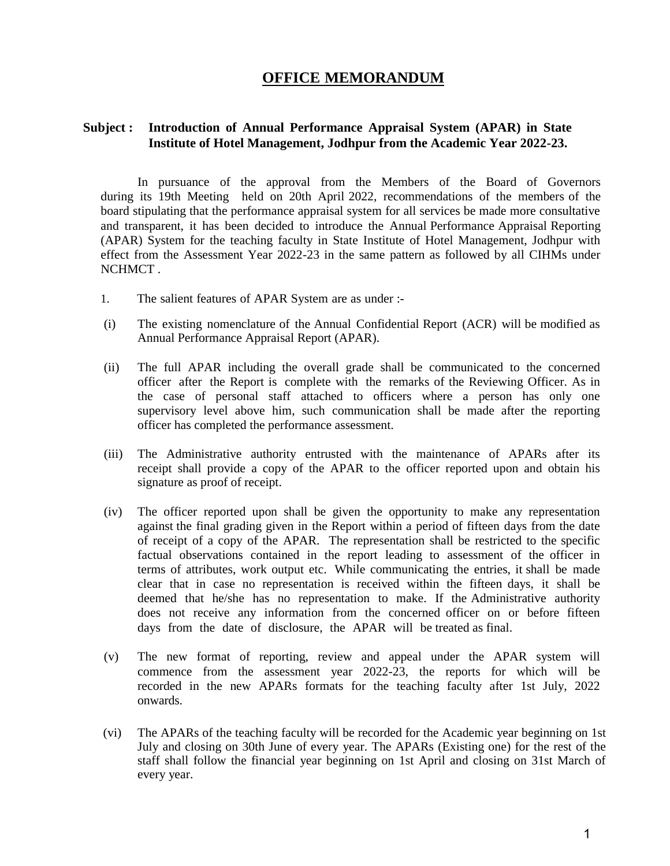### **OFFICE MEMORANDUM**

#### **Subject : Introduction of Annual Performance Appraisal System (APAR) in State Institute of Hotel Management, Jodhpur from the Academic Year 2022-23.**

In pursuance of the approval from the Members of the Board of Governors during its 19th Meeting held on 20th April 2022, recommendations of the members of the board stipulating that the performance appraisal system for all services be made more consultative and transparent, it has been decided to introduce the Annual Performance Appraisal Reporting (APAR) System for the teaching faculty in State Institute of Hotel Management, Jodhpur with effect from the Assessment Year 2022-23 in the same pattern as followed by all CIHMs under NCHMCT .

- 1. The salient features of APAR System are as under :-
- (i) The existing nomenclature of the Annual Confidential Report (ACR) will be modified as Annual Performance Appraisal Report (APAR).
- (ii) The full APAR including the overall grade shall be communicated to the concerned officer after the Report is complete with the remarks of the Reviewing Officer. As in the case of personal staff attached to officers where a person has only one supervisory level above him, such communication shall be made after the reporting officer has completed the performance assessment.
- (iii) The Administrative authority entrusted with the maintenance of APARs after its receipt shall provide a copy of the APAR to the officer reported upon and obtain his signature as proof of receipt.
- (iv) The officer reported upon shall be given the opportunity to make any representation against the final grading given in the Report within a period of fifteen days from the date of receipt of a copy of the APAR. The representation shall be restricted to the specific factual observations contained in the report leading to assessment of the officer in terms of attributes, work output etc. While communicating the entries, it shall be made clear that in case no representation is received within the fifteen days, it shall be deemed that he/she has no representation to make. If the Administrative authority does not receive any information from the concerned officer on or before fifteen days from the date of disclosure, the APAR will be treated as final.
- (v) The new format of reporting, review and appeal under the APAR system will commence from the assessment year 2022-23, the reports for which will be recorded in the new APARs formats for the teaching faculty after 1st July, 2022 onwards.
- (vi) The APARs of the teaching faculty will be recorded for the Academic year beginning on 1st July and closing on 30th June of every year. The APARs (Existing one) for the rest of the staff shall follow the financial year beginning on 1st April and closing on 31st March of every year.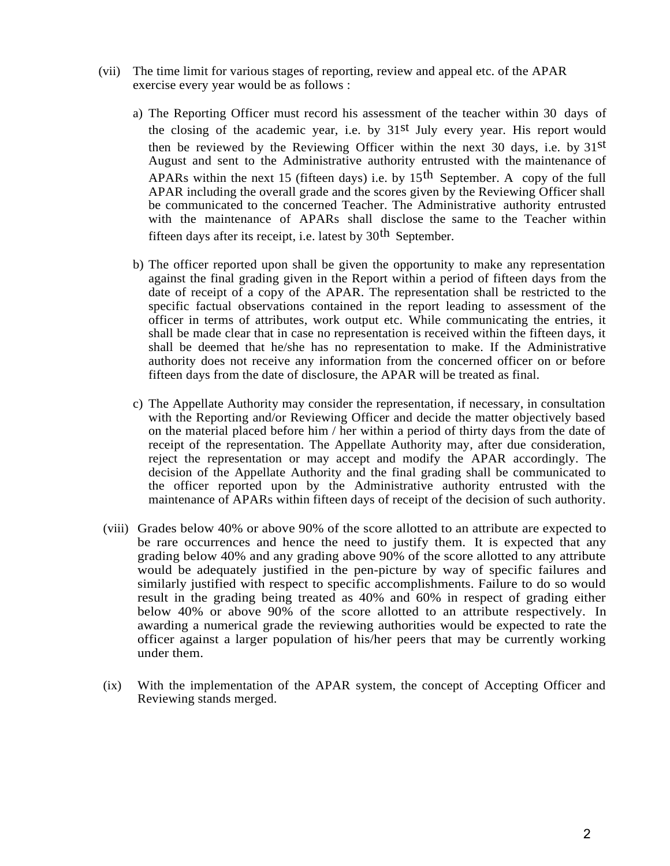- (vii) The time limit for various stages of reporting, review and appeal etc. of the APAR exercise every year would be as follows :
	- a) The Reporting Officer must record his assessment of the teacher within 30 days of the closing of the academic year, i.e. by 31st July every year. His report would then be reviewed by the Reviewing Officer within the next 30 days, i.e. by 31st August and sent to the Administrative authority entrusted with the maintenance of APARs within the next 15 (fifteen days) i.e. by  $15<sup>th</sup>$  September. A copy of the full APAR including the overall grade and the scores given by the Reviewing Officer shall be communicated to the concerned Teacher. The Administrative authority entrusted with the maintenance of APARs shall disclose the same to the Teacher within fifteen days after its receipt, i.e. latest by  $30<sup>th</sup>$  September.
	- b) The officer reported upon shall be given the opportunity to make any representation against the final grading given in the Report within a period of fifteen days from the date of receipt of a copy of the APAR. The representation shall be restricted to the specific factual observations contained in the report leading to assessment of the officer in terms of attributes, work output etc. While communicating the entries, it shall be made clear that in case no representation is received within the fifteen days, it shall be deemed that he/she has no representation to make. If the Administrative authority does not receive any information from the concerned officer on or before fifteen days from the date of disclosure, the APAR will be treated as final.
	- c) The Appellate Authority may consider the representation, if necessary, in consultation with the Reporting and/or Reviewing Officer and decide the matter objectively based on the material placed before him / her within a period of thirty days from the date of receipt of the representation. The Appellate Authority may, after due consideration, reject the representation or may accept and modify the APAR accordingly. The decision of the Appellate Authority and the final grading shall be communicated to the officer reported upon by the Administrative authority entrusted with the maintenance of APARs within fifteen days of receipt of the decision of such authority.
- (viii) Grades below 40% or above 90% of the score allotted to an attribute are expected to be rare occurrences and hence the need to justify them. It is expected that any grading below 40% and any grading above 90% of the score allotted to any attribute would be adequately justified in the pen-picture by way of specific failures and similarly justified with respect to specific accomplishments. Failure to do so would result in the grading being treated as 40% and 60% in respect of grading either below 40% or above 90% of the score allotted to an attribute respectively. In awarding a numerical grade the reviewing authorities would be expected to rate the officer against a larger population of his/her peers that may be currently working under them.
- (ix) With the implementation of the APAR system, the concept of Accepting Officer and Reviewing stands merged.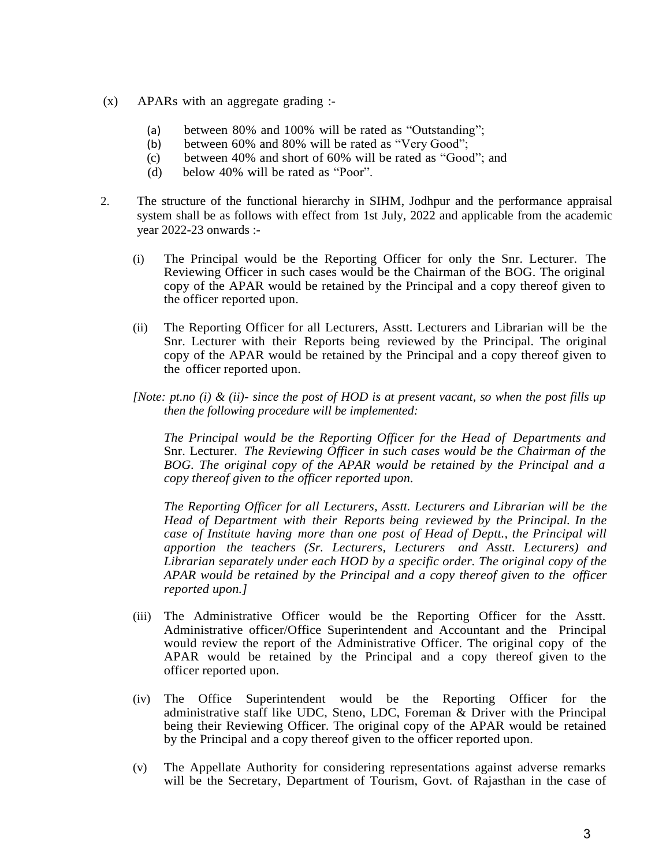- (x) APARs with an aggregate grading :-
	- (a) between 80% and 100% will be rated as "Outstanding";
	- (b) between 60% and 80% will be rated as "Very Good";
	- (c) between 40% and short of 60% will be rated as "Good"; and
	- (d) below 40% will be rated as "Poor".
- 2. The structure of the functional hierarchy in SIHM, Jodhpur and the performance appraisal system shall be as follows with effect from 1st July, 2022 and applicable from the academic year 2022-23 onwards :-
	- (i) The Principal would be the Reporting Officer for only the Snr. Lecturer. The Reviewing Officer in such cases would be the Chairman of the BOG. The original copy of the APAR would be retained by the Principal and a copy thereof given to the officer reported upon.
	- (ii) The Reporting Officer for all Lecturers, Asstt. Lecturers and Librarian will be the Snr. Lecturer with their Reports being reviewed by the Principal. The original copy of the APAR would be retained by the Principal and a copy thereof given to the officer reported upon.
	- *[Note: pt.no (i) & (ii)- since the post of HOD is at present vacant, so when the post fills up then the following procedure will be implemented:*

*The Principal would be the Reporting Officer for the Head of Departments and*  Snr. Lecturer*. The Reviewing Officer in such cases would be the Chairman of the BOG. The original copy of the APAR would be retained by the Principal and a copy thereof given to the officer reported upon.*

*The Reporting Officer for all Lecturers, Asstt. Lecturers and Librarian will be the Head of Department with their Reports being reviewed by the Principal. In the case of Institute having more than one post of Head of Deptt., the Principal will apportion the teachers (Sr. Lecturers, Lecturers and Asstt. Lecturers) and Librarian separately under each HOD by a specific order. The original copy of the APAR would be retained by the Principal and a copy thereof given to the officer reported upon.]*

- (iii) The Administrative Officer would be the Reporting Officer for the Asstt. Administrative officer/Office Superintendent and Accountant and the Principal would review the report of the Administrative Officer. The original copy of the APAR would be retained by the Principal and a copy thereof given to the officer reported upon.
- (iv) The Office Superintendent would be the Reporting Officer for the administrative staff like UDC, Steno, LDC, Foreman & Driver with the Principal being their Reviewing Officer. The original copy of the APAR would be retained by the Principal and a copy thereof given to the officer reported upon.
- (v) The Appellate Authority for considering representations against adverse remarks will be the Secretary, Department of Tourism, Govt. of Rajasthan in the case of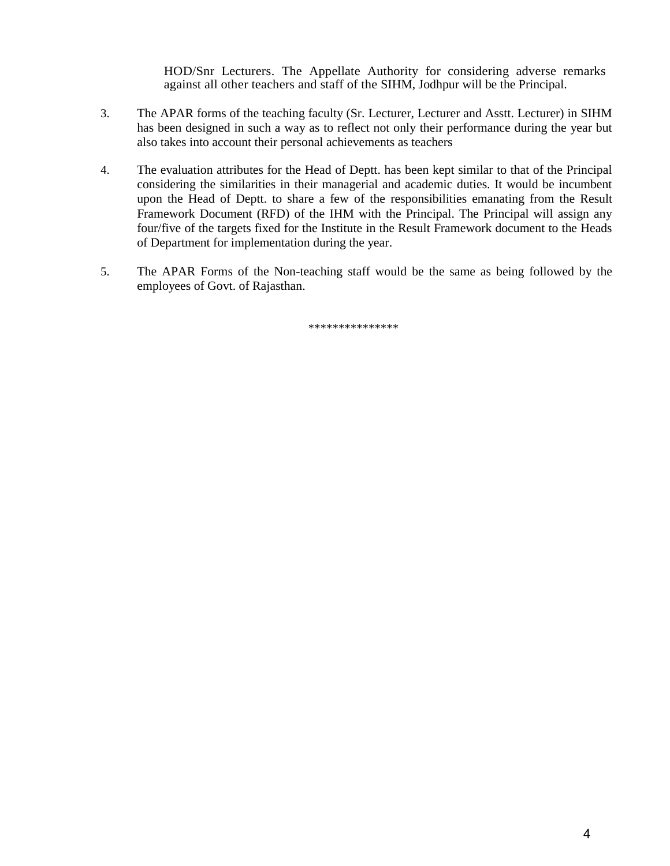HOD/Snr Lecturers. The Appellate Authority for considering adverse remarks against all other teachers and staff of the SIHM, Jodhpur will be the Principal.

- 3. The APAR forms of the teaching faculty (Sr. Lecturer, Lecturer and Asstt. Lecturer) in SIHM has been designed in such a way as to reflect not only their performance during the year but also takes into account their personal achievements as teachers
- 4. The evaluation attributes for the Head of Deptt. has been kept similar to that of the Principal considering the similarities in their managerial and academic duties. It would be incumbent upon the Head of Deptt. to share a few of the responsibilities emanating from the Result Framework Document (RFD) of the IHM with the Principal. The Principal will assign any four/five of the targets fixed for the Institute in the Result Framework document to the Heads of Department for implementation during the year.
- 5. The APAR Forms of the Non-teaching staff would be the same as being followed by the employees of Govt. of Rajasthan.

\*\*\*\*\*\*\*\*\*\*\*\*\*\*\*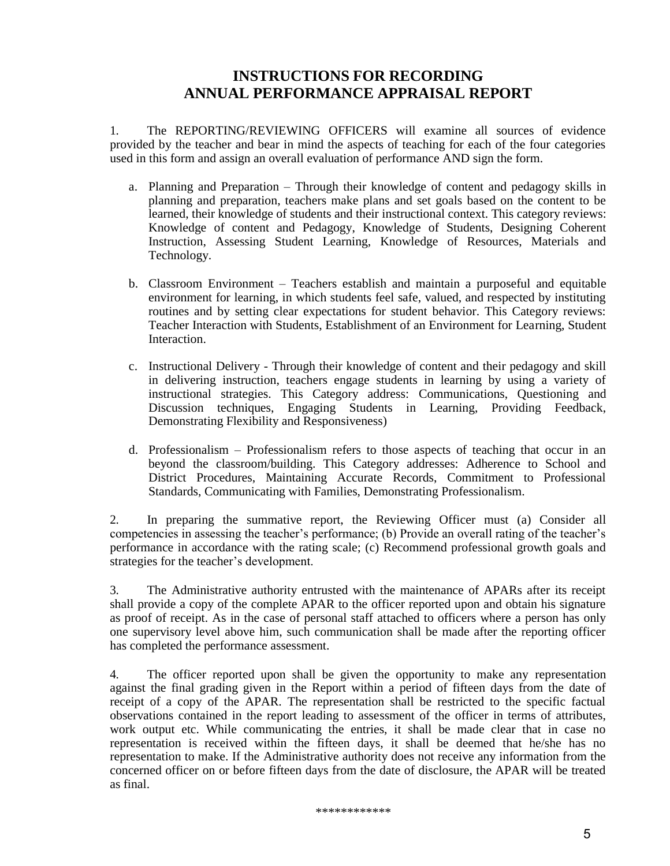### **INSTRUCTIONS FOR RECORDING ANNUAL PERFORMANCE APPRAISAL REPORT**

1. The REPORTING/REVIEWING OFFICERS will examine all sources of evidence provided by the teacher and bear in mind the aspects of teaching for each of the four categories used in this form and assign an overall evaluation of performance AND sign the form.

- a. Planning and Preparation Through their knowledge of content and pedagogy skills in planning and preparation, teachers make plans and set goals based on the content to be learned, their knowledge of students and their instructional context. This category reviews: Knowledge of content and Pedagogy, Knowledge of Students, Designing Coherent Instruction, Assessing Student Learning, Knowledge of Resources, Materials and Technology.
- b. Classroom Environment Teachers establish and maintain a purposeful and equitable environment for learning, in which students feel safe, valued, and respected by instituting routines and by setting clear expectations for student behavior. This Category reviews: Teacher Interaction with Students, Establishment of an Environment for Learning, Student Interaction.
- c. Instructional Delivery Through their knowledge of content and their pedagogy and skill in delivering instruction, teachers engage students in learning by using a variety of instructional strategies. This Category address: Communications, Questioning and Discussion techniques, Engaging Students in Learning, Providing Feedback, Demonstrating Flexibility and Responsiveness)
- d. Professionalism Professionalism refers to those aspects of teaching that occur in an beyond the classroom/building. This Category addresses: Adherence to School and District Procedures, Maintaining Accurate Records, Commitment to Professional Standards, Communicating with Families, Demonstrating Professionalism.

2. In preparing the summative report, the Reviewing Officer must (a) Consider all competencies in assessing the teacher's performance; (b) Provide an overall rating of the teacher's performance in accordance with the rating scale; (c) Recommend professional growth goals and strategies for the teacher's development.

3. The Administrative authority entrusted with the maintenance of APARs after its receipt shall provide a copy of the complete APAR to the officer reported upon and obtain his signature as proof of receipt. As in the case of personal staff attached to officers where a person has only one supervisory level above him, such communication shall be made after the reporting officer has completed the performance assessment.

4. The officer reported upon shall be given the opportunity to make any representation against the final grading given in the Report within a period of fifteen days from the date of receipt of a copy of the APAR. The representation shall be restricted to the specific factual observations contained in the report leading to assessment of the officer in terms of attributes, work output etc. While communicating the entries, it shall be made clear that in case no representation is received within the fifteen days, it shall be deemed that he/she has no representation to make. If the Administrative authority does not receive any information from the concerned officer on or before fifteen days from the date of disclosure, the APAR will be treated as final.

\*\*\*\*\*\*\*\*\*\*\*\*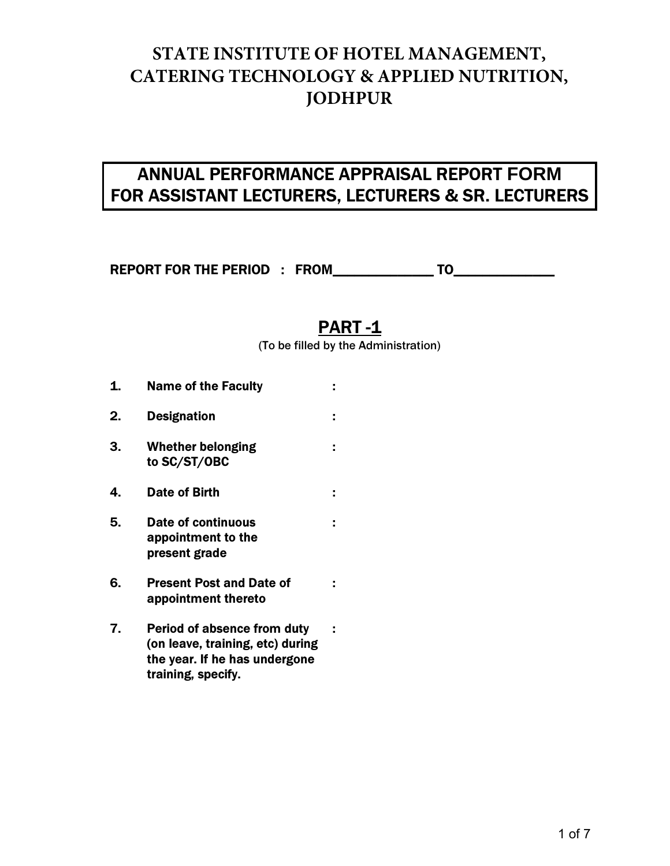# **STATE INSTITUTE OF HOTEL MANAGEMENT, CATERING TECHNOLOGY & APPLIED NUTRITION, JODHPUR**

# ANNUAL PERFORMANCE APPRAISAL REPORT **FORM**  FOR ASSISTANT LECTURERS, LECTURERS & SR. LECTURERS

REPORT FOR THE PERIOD : FROM \_\_\_\_\_\_\_\_\_\_\_\_\_\_ TO\_\_\_\_\_\_\_\_\_\_\_

## PART -1

(To be filled by the Administration)

1. Name of the Faculty : 2. Designation : 3. Whether belonging : to SC/ST/OBC 4. Date of Birth : 5. Date of continuous : appointment to the present grade 6. Present Post and Date of : appointment thereto 7. Period of absence from duty : (on leave, training, etc) during the year. If he has undergone training, specify.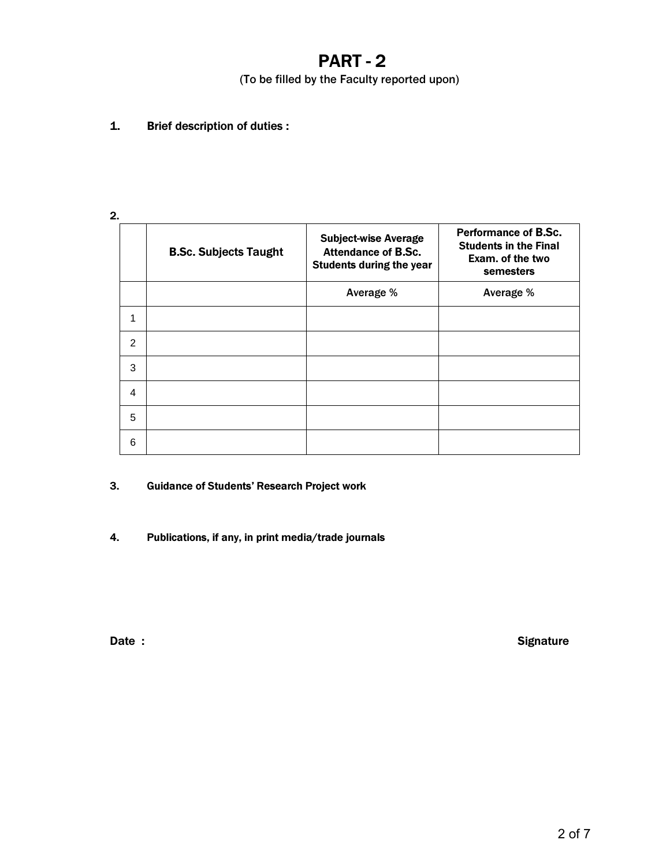## PART - 2

(To be filled by the Faculty reported upon)

1. Brief description of duties :

| ۰. |
|----|
|    |

|                | <b>B.Sc. Subjects Taught</b> | <b>Subject-wise Average</b><br><b>Attendance of B.Sc.</b><br><b>Students during the year</b> | <b>Performance of B.Sc.</b><br><b>Students in the Final</b><br>Exam. of the two<br>semesters |
|----------------|------------------------------|----------------------------------------------------------------------------------------------|----------------------------------------------------------------------------------------------|
|                |                              | Average %                                                                                    | Average %                                                                                    |
| 1              |                              |                                                                                              |                                                                                              |
| $\overline{2}$ |                              |                                                                                              |                                                                                              |
| 3              |                              |                                                                                              |                                                                                              |
| 4              |                              |                                                                                              |                                                                                              |
| 5              |                              |                                                                                              |                                                                                              |
| 6              |                              |                                                                                              |                                                                                              |

3. Guidance of Students' Research Project work

4. Publications, if any, in print media/trade journals

Date : Signature Contract Contract Contract Contract Contract Contract Contract Contract Contract Contract Contract Contract Contract Contract Contract Contract Contract Contract Contract Contract Contract Contract Contrac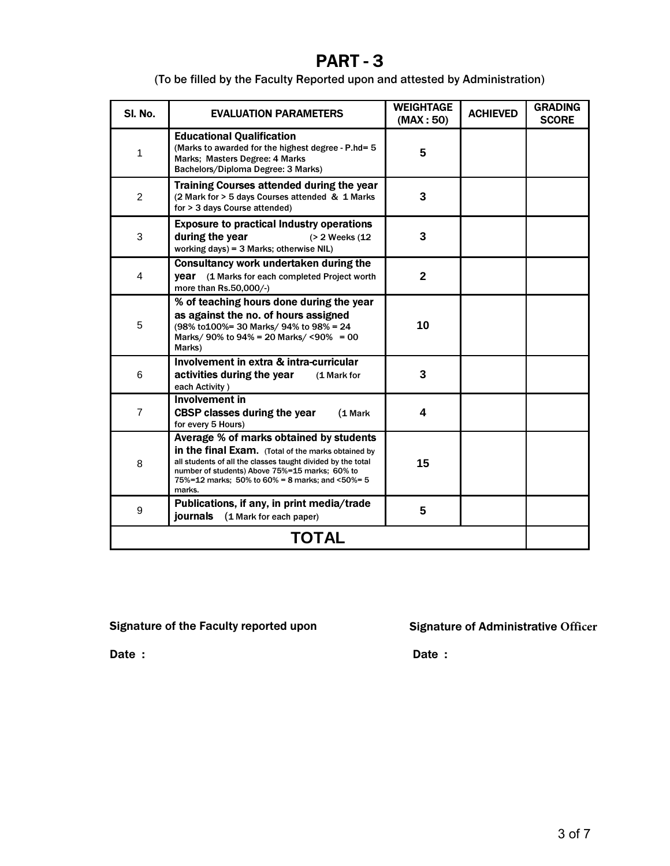## PART - 3

(To be filled by the Faculty Reported upon and attested by Administration)

| SI. No.        | <b>EVALUATION PARAMETERS</b>                                                                                                                                                                                                                                                | <b>WEIGHTAGE</b><br>(MAX:50) | <b>ACHIEVED</b> | <b>GRADING</b><br><b>SCORE</b> |
|----------------|-----------------------------------------------------------------------------------------------------------------------------------------------------------------------------------------------------------------------------------------------------------------------------|------------------------------|-----------------|--------------------------------|
| 1              | <b>Educational Qualification</b><br>(Marks to awarded for the highest degree - P.hd= 5)<br>Marks: Masters Degree: 4 Marks<br>Bachelors/Diploma Degree: 3 Marks)                                                                                                             | 5                            |                 |                                |
| 2              | Training Courses attended during the year<br>(2 Mark for > 5 days Courses attended & 1 Marks<br>for > 3 days Course attended)                                                                                                                                               | 3                            |                 |                                |
| 3              | <b>Exposure to practical Industry operations</b><br>during the year<br>(> 2 Weeks (12)<br>working days) = 3 Marks; otherwise NIL)                                                                                                                                           | 3                            |                 |                                |
| 4              | Consultancy work undertaken during the<br>year (1 Marks for each completed Project worth<br>more than Rs.50,000/-)                                                                                                                                                          | $\mathbf{2}$                 |                 |                                |
| 5              | % of teaching hours done during the year<br>as against the no. of hours assigned<br>(98% to 100% = 30 Marks/ 94% to 98% = 24<br>Marks/ 90% to 94% = 20 Marks/ <90% = 00<br>Marks)                                                                                           | 10                           |                 |                                |
| 6              | Involvement in extra & intra-curricular<br>activities during the year<br>(1 Mark for<br>each Activity)                                                                                                                                                                      | 3                            |                 |                                |
| $\overline{7}$ | Involvement in<br><b>CBSP classes during the year</b><br>(1 Mark<br>for every 5 Hours)                                                                                                                                                                                      | 4                            |                 |                                |
| 8              | Average % of marks obtained by students<br>in the final Exam. (Total of the marks obtained by<br>all students of all the classes taught divided by the total<br>number of students) Above 75%=15 marks; 60% to<br>75%=12 marks; 50% to 60% = 8 marks; and <50%= 5<br>marks. | 15                           |                 |                                |
| 9              | Publications, if any, in print media/trade<br><b>journals</b><br>(1 Mark for each paper)                                                                                                                                                                                    | 5                            |                 |                                |
| <b>TOTAL</b>   |                                                                                                                                                                                                                                                                             |                              |                 |                                |

Signature of the Faculty reported upon Signature of Administrative **Officer** 

Date : **Date : Date :**  Date : **Date :**  Date :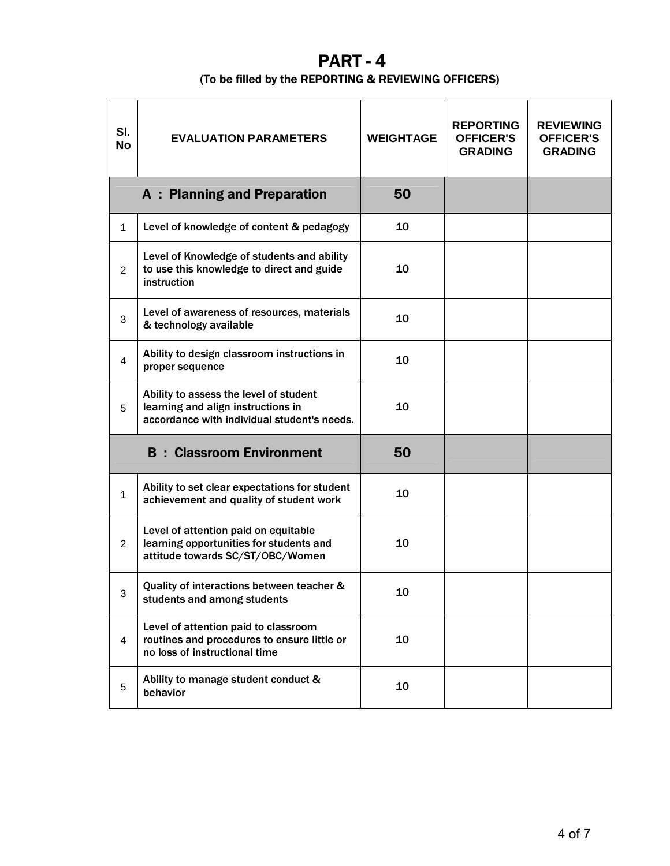## PART - 4

#### (To be filled by the REPORTING & REVIEWING OFFICERS)

| SI.<br><b>No</b> | <b>EVALUATION PARAMETERS</b>                                                                                                | <b>WEIGHTAGE</b> | <b>REPORTING</b><br><b>OFFICER'S</b><br><b>GRADING</b> | <b>REVIEWING</b><br><b>OFFICER'S</b><br><b>GRADING</b> |
|------------------|-----------------------------------------------------------------------------------------------------------------------------|------------------|--------------------------------------------------------|--------------------------------------------------------|
|                  | <b>A</b> : Planning and Preparation                                                                                         | 50               |                                                        |                                                        |
| 1                | Level of knowledge of content & pedagogy                                                                                    | 10               |                                                        |                                                        |
| 2                | Level of Knowledge of students and ability<br>to use this knowledge to direct and guide<br>instruction                      | 10               |                                                        |                                                        |
| 3                | Level of awareness of resources, materials<br>& technology available                                                        | 10               |                                                        |                                                        |
| 4                | Ability to design classroom instructions in<br>proper sequence                                                              | 10               |                                                        |                                                        |
| 5                | Ability to assess the level of student<br>learning and align instructions in<br>accordance with individual student's needs. | 10               |                                                        |                                                        |
|                  | <b>B</b> : Classroom Environment                                                                                            | 50               |                                                        |                                                        |
| $\mathbf{1}$     | Ability to set clear expectations for student<br>achievement and quality of student work                                    | 10               |                                                        |                                                        |
| $\overline{2}$   | Level of attention paid on equitable<br>learning opportunities for students and<br>attitude towards SC/ST/OBC/Women         | 10               |                                                        |                                                        |
| 3                | Quality of interactions between teacher &<br>students and among students                                                    | 10               |                                                        |                                                        |
| $\overline{4}$   | Level of attention paid to classroom<br>routines and procedures to ensure little or<br>no loss of instructional time        | 10               |                                                        |                                                        |
| 5                | Ability to manage student conduct &<br>behavior                                                                             | 10               |                                                        |                                                        |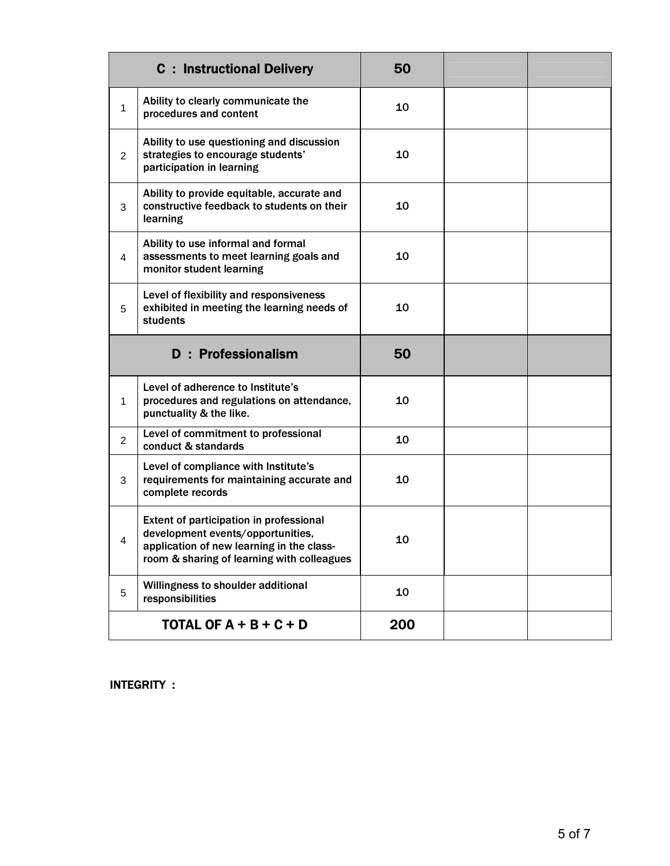|                | <b>C</b> : Instructional Delivery                                                                                                                                       | 50 |  |
|----------------|-------------------------------------------------------------------------------------------------------------------------------------------------------------------------|----|--|
| 1              | Ability to clearly communicate the<br>procedures and content                                                                                                            | 10 |  |
| $\overline{2}$ | Ability to use questioning and discussion<br>strategies to encourage students'<br>participation in learning                                                             | 10 |  |
| 3              | Ability to provide equitable, accurate and<br>constructive feedback to students on their<br>learning                                                                    | 10 |  |
| 4              | Ability to use informal and formal<br>assessments to meet learning goals and<br>monitor student learning                                                                | 10 |  |
| 5              | Level of flexibility and responsiveness<br>exhibited in meeting the learning needs of<br>students                                                                       | 10 |  |
|                |                                                                                                                                                                         |    |  |
|                | <b>D</b> : Professionalism                                                                                                                                              | 50 |  |
| 1              | Level of adherence to Institute's<br>procedures and regulations on attendance,<br>punctuality & the like.                                                               | 10 |  |
| $\overline{2}$ | Level of commitment to professional<br>conduct & standards                                                                                                              | 10 |  |
| 3              | Level of compliance with Institute's<br>requirements for maintaining accurate and<br>complete records                                                                   | 10 |  |
| 4              | Extent of participation in professional<br>development events/opportunities,<br>application of new learning in the class-<br>room & sharing of learning with colleagues | 10 |  |
| 5              | Willingness to shoulder additional<br>responsibilities                                                                                                                  | 10 |  |

INTEGRITY :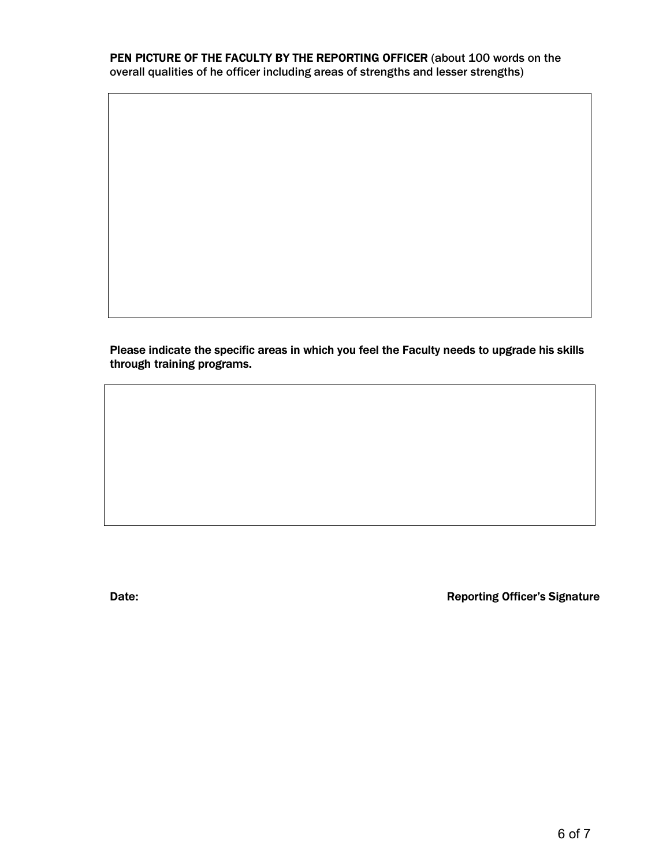PEN PICTURE OF THE FACULTY BY THE REPORTING OFFICER (about 100 words on the overall qualities of he officer including areas of strengths and lesser strengths)

Please indicate the specific areas in which you feel the Faculty needs to upgrade his skills through training programs.

Date: Date: **Date: Date: CONSISTENTS Reporting Officer's Signature**